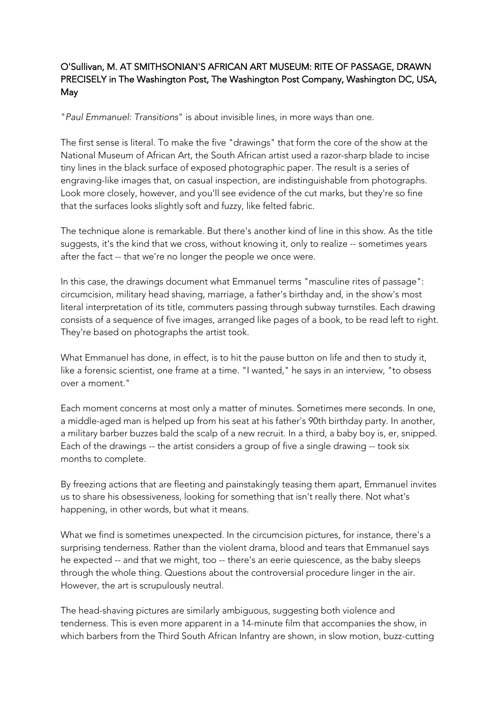## O'Sullivan, M. AT SMITHSONIAN'S AFRICAN ART MUSEUM: RITE OF PASSAGE, DRAWN PRECISELY in The Washington Post, The Washington Post Company, Washington DC, USA, May

"*Paul Emmanuel: Transitions*" is about invisible lines, in more ways than one.

The first sense is literal. To make the five "drawings" that form the core of the show at the National Museum of African Art, the South African artist used a razor-sharp blade to incise tiny lines in the black surface of exposed photographic paper. The result is a series of engraving-like images that, on casual inspection, are indistinguishable from photographs. Look more closely, however, and you'll see evidence of the cut marks, but they're so fine that the surfaces looks slightly soft and fuzzy, like felted fabric.

The technique alone is remarkable. But there's another kind of line in this show. As the title suggests, it's the kind that we cross, without knowing it, only to realize -- sometimes years after the fact -- that we're no longer the people we once were.

In this case, the drawings document what Emmanuel terms "masculine rites of passage": circumcision, military head shaving, marriage, a father's birthday and, in the show's most literal interpretation of its title, commuters passing through subway turnstiles. Each drawing consists of a sequence of five images, arranged like pages of a book, to be read left to right. They're based on photographs the artist took.

What Emmanuel has done, in effect, is to hit the pause button on life and then to study it, like a forensic scientist, one frame at a time. "I wanted," he says in an interview, "to obsess over a moment."

Each moment concerns at most only a matter of minutes. Sometimes mere seconds. In one, a middle-aged man is helped up from his seat at his father's 90th birthday party. In another, a military barber buzzes bald the scalp of a new recruit. In a third, a baby boy is, er, snipped. Each of the drawings -- the artist considers a group of five a single drawing -- took six months to complete.

By freezing actions that are fleeting and painstakingly teasing them apart, Emmanuel invites us to share his obsessiveness, looking for something that isn't really there. Not what's happening, in other words, but what it means.

What we find is sometimes unexpected. In the circumcision pictures, for instance, there's a surprising tenderness. Rather than the violent drama, blood and tears that Emmanuel says he expected -- and that we might, too -- there's an eerie quiescence, as the baby sleeps through the whole thing. Questions about the controversial procedure linger in the air. However, the art is scrupulously neutral.

The head-shaving pictures are similarly ambiguous, suggesting both violence and tenderness. This is even more apparent in a 14-minute film that accompanies the show, in which barbers from the Third South African Infantry are shown, in slow motion, buzz-cutting